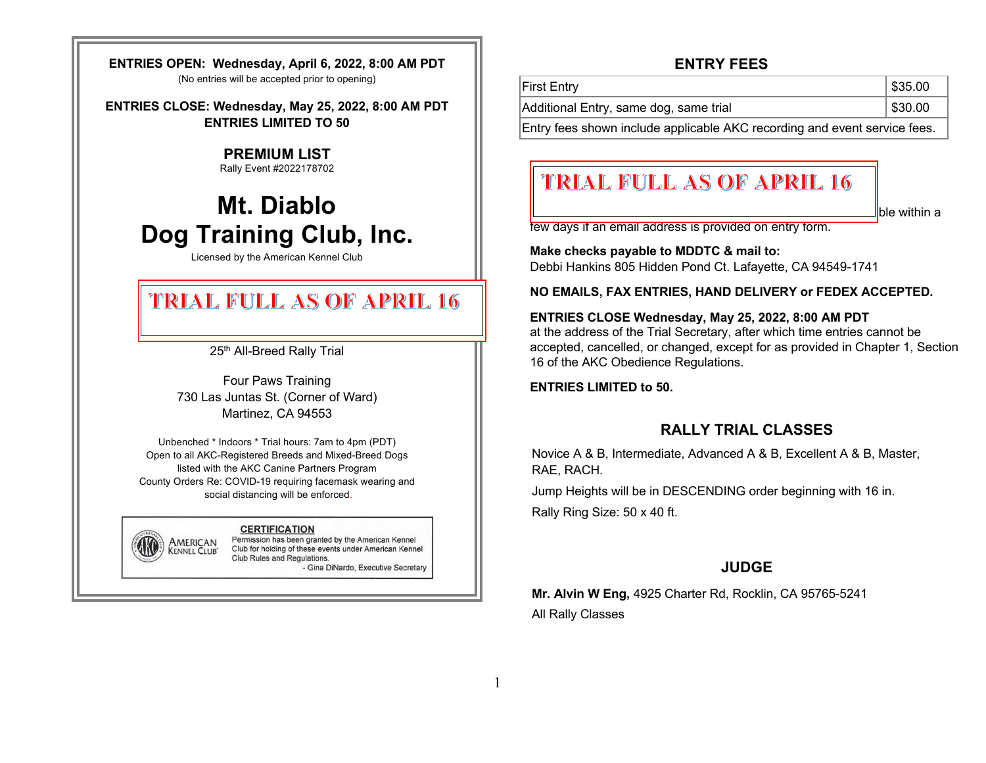**ENTRIES OPEN: Wednesday, April 6, 2022, 8:00 AM PDT** (No entries will be accepted prior to opening)

**ENTRIES CLOSE: Wednesday, May 25, 2022, 8:00 AM PDT ENTRIES LIMITED TO 50** 

## **PREMIUM LIST**

Rally Event #2022178702

# **Mt. Diablo Dog Training Club, Inc.**

Licensed by the American Kennel Club

## TRIAL FULL AS OF APRIL 16

25<sup>th</sup> All-Breed Rally Trial

Sunday, June 12, 2022

Four Paws Training 730 Las Juntas St. (Corner of Ward) Martinez, CA 94553

Unbenched \* Indoors \* Trial hours: 7am to 4pm (PDT) Open to all AKC-Registered Breeds and Mixed-Breed Dogs listed with the AKC Canine Partners Program County Orders Re: COVID-19 requiring facemask wearing and social distancing will be enforced.

#### **CERTIFICATION**

AMERICAN

**KENNEL CLUB®** 

Permission has been granted by the American Kennel Club for holding of these events under American Kennel Club Rules and Regulations. - Gina DiNardo, Executive Secretary

## **ENTRY FEES**

| Additional Entry, same dog, same trial | \$30.00 |
|----------------------------------------|---------|
| First Entry                            | \$35.00 |

Entry fees shown include applicable AKC recording and event service fees.

## **TRIAL FULL AS OF APRIL 16 Mail entry form to Trial Secretary.**

ble within a

few days if an email address is provided on entry form.

**Make checks payable to MDDTC & mail to:** 

Debbi Hankins 805 Hidden Pond Ct. Lafayette, CA 94549-1741

**NO EMAILS, FAX ENTRIES, HAND DELIVERY or FEDEX ACCEPTED.**

#### **ENTRIES CLOSE Wednesday, May 25, 2022, 8:00 AM PDT**

at the address of the Trial Secretary, after which time entries cannot be accepted, cancelled, or changed, except for as provided in Chapter 1, Section 16 of the AKC Obedience Regulations.

**ENTRIES LIMITED to 50.**

## **RALLY TRIAL CLASSES**

Novice A & B, Intermediate, Advanced A & B, Excellent A & B, Master, RAE, RACH.

Jump Heights will be in DESCENDING order beginning with 16 in.

Rally Ring Size: 50 x 40 ft.

## **JUDGE**

**Mr. Alvin W Eng,** 4925 Charter Rd, Rocklin, CA 95765-5241 All Rally Classes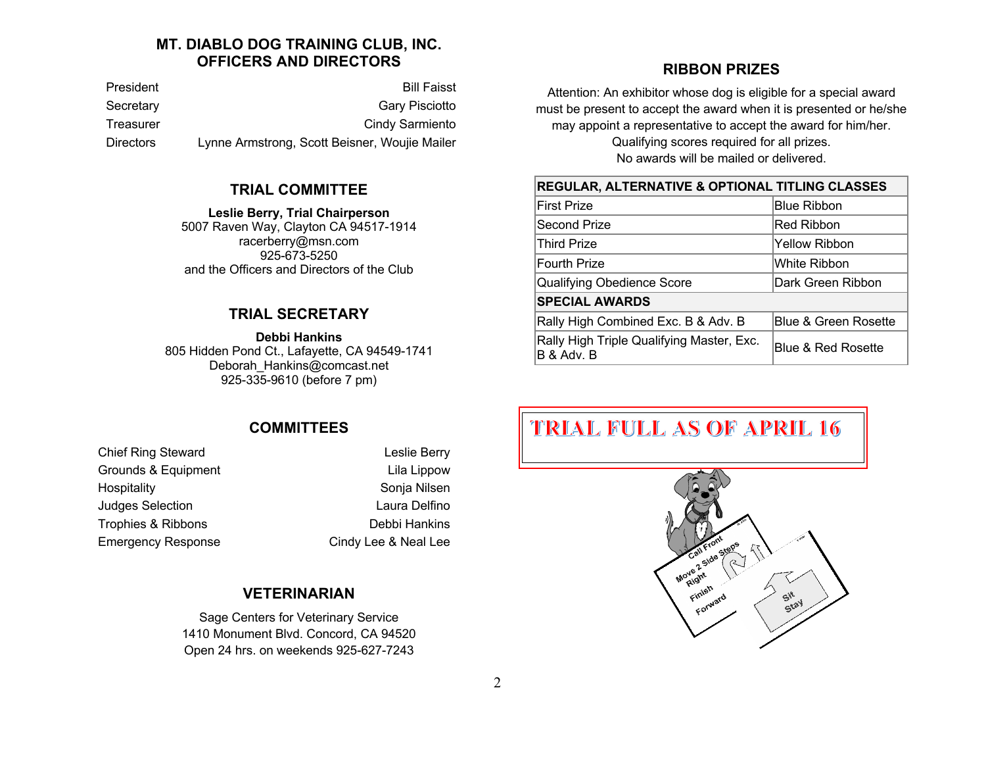## **MT. DIABLO DOG TRAINING CLUB, INC. OFFICERS AND DIRECTORS**

President Bill Faisst Secretary Gary Pisciotto Treasurer **Cindy Sarmiento** Cindy Sarmiento Directors Lynne Armstrong, Scott Beisner, Woujie Mailer

#### **TRIAL COMMITTEE**

**Leslie Berry, Trial Chairperson** 5007 Raven Way, Clayton CA 94517-1914 racerberry@msn.com 925-673-5250 and the Officers and Directors of the Club

#### **TRIAL SECRETARY**

**Debbi Hankins**

805 Hidden Pond Ct., Lafayette, CA 94549-1741 Deborah\_Hankins@comcast.net 925-335-9610 (before 7 pm)

## **COMMITTEES**

Chief Ring Steward **Leslie Berry** Grounds & Equipment Lila Lippow Hospitality **Sonja Nilsen Judges Selection Laura Delfino** Trophies & Ribbons **Debbi Hankins** Emergency Response Cindy Lee & Neal Lee

## **VETERINARIAN**

Sage Centers for Veterinary Service 1410 Monument Blvd. Concord, CA 94520 Open 24 hrs. on weekends 925-627-7243

## **RIBBON PRIZES**

Attention: An exhibitor whose dog is eligible for a special award must be present to accept the award when it is presented or he/she may appoint a representative to accept the award for him/her. Qualifying scores required for all prizes. No awards will be mailed or delivered.

#### **REGULAR, ALTERNATIVE & OPTIONAL TITLING CLASSES**

| <b>First Prize</b>                                      | <b>Blue Ribbon</b>   |  |
|---------------------------------------------------------|----------------------|--|
| Second Prize                                            | Red Ribbon           |  |
| Third Prize                                             | Yellow Ribbon        |  |
| <b>Fourth Prize</b>                                     | White Ribbon         |  |
| Qualifying Obedience Score                              | Dark Green Ribbon    |  |
| <b>SPECIAL AWARDS</b>                                   |                      |  |
| Rally High Combined Exc. B & Adv. B                     | Blue & Green Rosette |  |
| Rally High Triple Qualifying Master, Exc.<br>B & Adv. B | Blue & Red Rosette   |  |

## **TRIAL FULL AS OF APRIL 16**